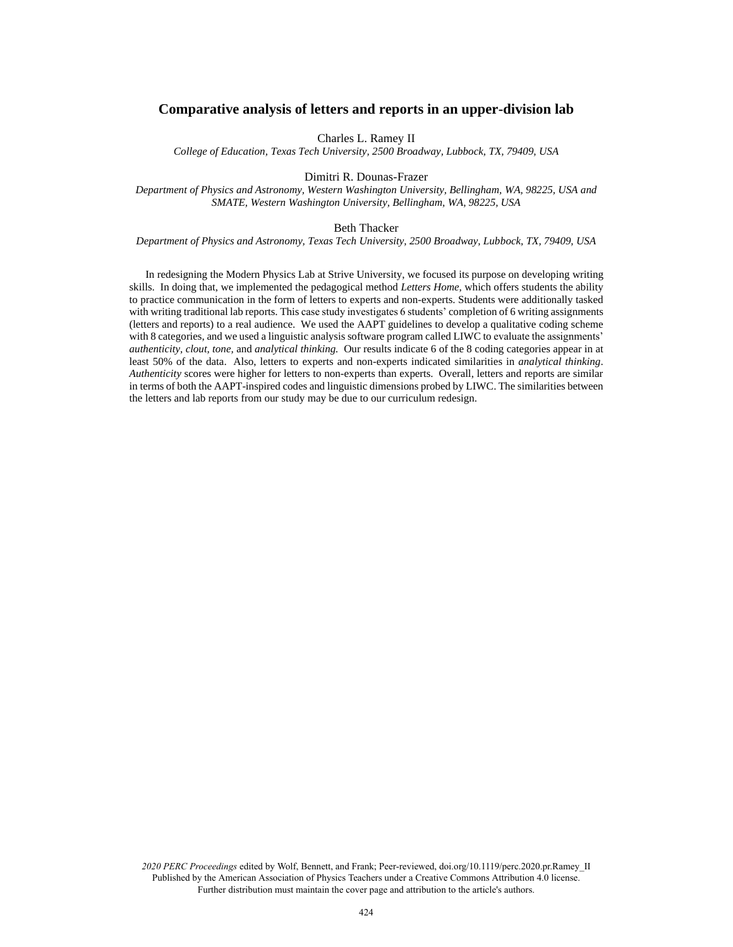# **Comparative analysis of letters and reports in an upper-division lab**

Charles L. Ramey II

*College of Education, Texas Tech University, 2500 Broadway, Lubbock, TX, 79409, USA*

### Dimitri R. Dounas-Frazer

*Department of Physics and Astronomy, Western Washington University, Bellingham, WA, 98225, USA and SMATE, Western Washington University, Bellingham, WA, 98225, USA*

#### Beth Thacker

#### *Department of Physics and Astronomy, Texas Tech University, 2500 Broadway, Lubbock, TX, 79409, USA*

In redesigning the Modern Physics Lab at Strive University, we focused its purpose on developing writing skills. In doing that, we implemented the pedagogical method *Letters Home,* which offers students the ability to practice communication in the form of letters to experts and non-experts. Students were additionally tasked with writing traditional lab reports. This case study investigates 6 students' completion of 6 writing assignments (letters and reports) to a real audience. We used the AAPT guidelines to develop a qualitative coding scheme with 8 categories, and we used a linguistic analysis software program called LIWC to evaluate the assignments' *authenticity, clout, tone,* and *analytical thinking.* Our results indicate 6 of the 8 coding categories appear in at least 50% of the data. Also, letters to experts and non-experts indicated similarities in *analytical thinking*. *Authenticity* scores were higher for letters to non-experts than experts. Overall, letters and reports are similar in terms of both the AAPT-inspired codes and linguistic dimensions probed by LIWC. The similarities between the letters and lab reports from our study may be due to our curriculum redesign.

*2020 PERC Proceedings* edited by Wolf, Bennett, and Frank; Peer-reviewed, doi.org/10.1119/perc.2020.pr.Ramey\_II Published by the American Association of Physics Teachers under a Creative Commons Attribution 4.0 license. Further distribution must maintain the cover page and attribution to the article's authors.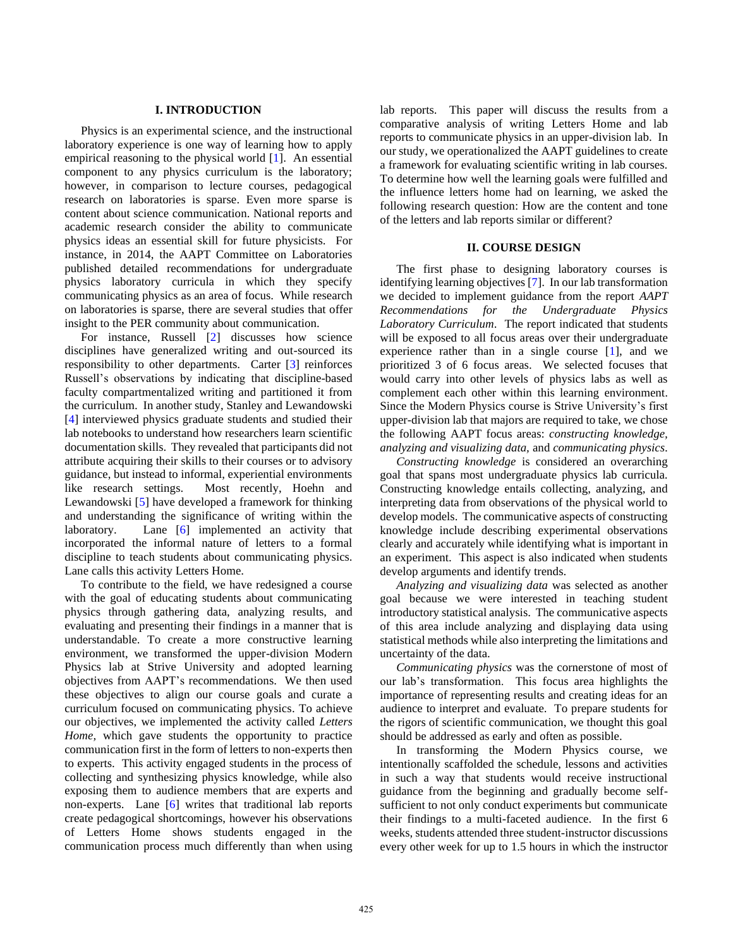#### **I. INTRODUCTION**

Physics is an experimental science, and the instructional laboratory experience is one way of learning how to apply empirical reasoning to the physical world [\[1\]](#page--1-0). An essential component to any physics curriculum is the laboratory; however, in comparison to lecture courses, pedagogical research on laboratories is sparse. Even more sparse is content about science communication. National reports and academic research consider the ability to communicate physics ideas an essential skill for future physicists. For instance, in 2014, the AAPT Committee on Laboratories published detailed recommendations for undergraduate physics laboratory curricula in which they specify communicating physics as an area of focus. While research on laboratories is sparse, there are several studies that offer insight to the PER community about communication.

For instance, Russell [\[2\]](#page--1-0) discusses how science disciplines have generalized writing and out-sourced its responsibility to other departments. Carter [\[3\]](#page--1-0) reinforces Russell's observations by indicating that discipline-based faculty compartmentalized writing and partitioned it from the curriculum. In another study, Stanley and Lewandowski [\[4\]](#page--1-0) interviewed physics graduate students and studied their lab notebooks to understand how researchers learn scientific documentation skills. They revealed that participants did not attribute acquiring their skills to their courses or to advisory guidance, but instead to informal, experiential environments like research settings. Most recently, Hoehn and Lewandowski [\[5\]](#page--1-0) have developed a framework for thinking and understanding the significance of writing within the laboratory. Lane [\[6\]](#page--1-0) implemented an activity that incorporated the informal nature of letters to a formal discipline to teach students about communicating physics. Lane calls this activity Letters Home.

To contribute to the field, we have redesigned a course with the goal of educating students about communicating physics through gathering data, analyzing results, and evaluating and presenting their findings in a manner that is understandable. To create a more constructive learning environment, we transformed the upper-division Modern Physics lab at Strive University and adopted learning objectives from AAPT's recommendations. We then used these objectives to align our course goals and curate a curriculum focused on communicating physics. To achieve our objectives, we implemented the activity called *Letters Home,* which gave students the opportunity to practice communication first in the form of letters to non-experts then to experts. This activity engaged students in the process of collecting and synthesizing physics knowledge, while also exposing them to audience members that are experts and non-experts. Lane [\[6\]](#page--1-0) writes that traditional lab reports create pedagogical shortcomings, however his observations of Letters Home shows students engaged in the communication process much differently than when using

lab reports. This paper will discuss the results from a comparative analysis of writing Letters Home and lab reports to communicate physics in an upper-division lab. In our study, we operationalized the AAPT guidelines to create a framework for evaluating scientific writing in lab courses. To determine how well the learning goals were fulfilled and the influence letters home had on learning, we asked the following research question: How are the content and tone of the letters and lab reports similar or different?

### **II. COURSE DESIGN**

The first phase to designing laboratory courses is identifying learning objectives [\[7\]](#page--1-0). In our lab transformation we decided to implement guidance from the report *AAPT Recommendations for the Undergraduate Physics Laboratory Curriculum*. The report indicated that students will be exposed to all focus areas over their undergraduate experience rather than in a single course [\[1\]](#page--1-0), and we prioritized 3 of 6 focus areas. We selected focuses that would carry into other levels of physics labs as well as complement each other within this learning environment. Since the Modern Physics course is Strive University's first upper-division lab that majors are required to take, we chose the following AAPT focus areas: *constructing knowledge, analyzing and visualizing data,* and *communicating physics*.

*Constructing knowledge* is considered an overarching goal that spans most undergraduate physics lab curricula. Constructing knowledge entails collecting, analyzing, and interpreting data from observations of the physical world to develop models. The communicative aspects of constructing knowledge include describing experimental observations clearly and accurately while identifying what is important in an experiment. This aspect is also indicated when students develop arguments and identify trends.

*Analyzing and visualizing data* was selected as another goal because we were interested in teaching student introductory statistical analysis. The communicative aspects of this area include analyzing and displaying data using statistical methods while also interpreting the limitations and uncertainty of the data.

*Communicating physics* was the cornerstone of most of our lab's transformation. This focus area highlights the importance of representing results and creating ideas for an audience to interpret and evaluate. To prepare students for the rigors of scientific communication, we thought this goal should be addressed as early and often as possible.

In transforming the Modern Physics course, we intentionally scaffolded the schedule, lessons and activities in such a way that students would receive instructional guidance from the beginning and gradually become selfsufficient to not only conduct experiments but communicate their findings to a multi-faceted audience. In the first 6 weeks, students attended three student-instructor discussions every other week for up to 1.5 hours in which the instructor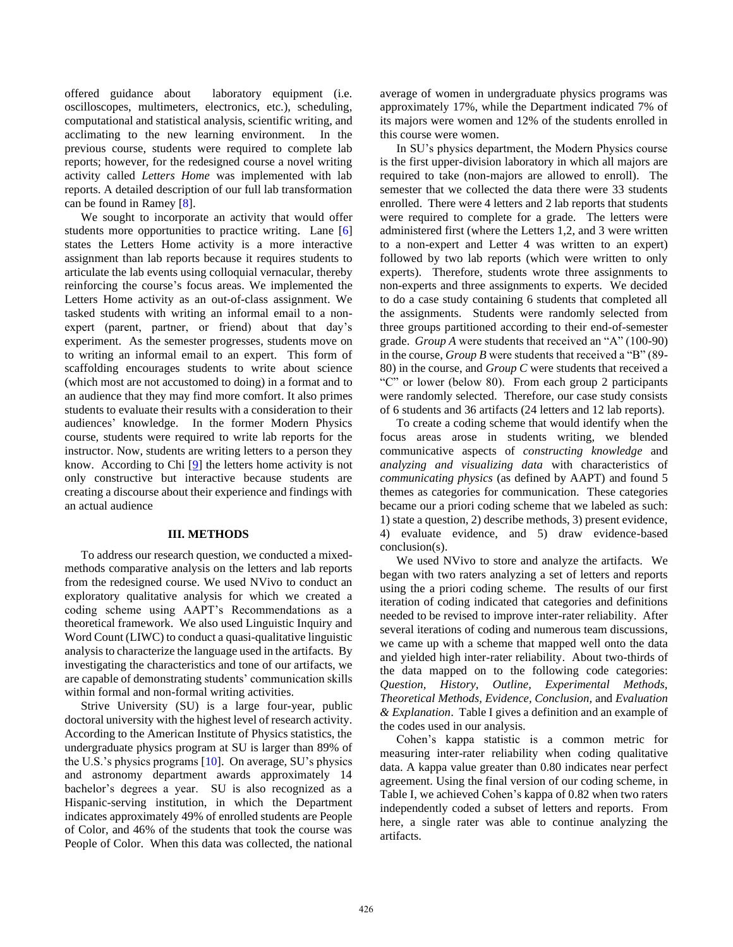offered guidance about laboratory equipment (i.e. oscilloscopes, multimeters, electronics, etc.), scheduling, computational and statistical analysis, scientific writing, and acclimating to the new learning environment. In the previous course, students were required to complete lab reports; however, for the redesigned course a novel writing activity called *Letters Home* was implemented with lab reports. A detailed description of our full lab transformation can be found in Ramey [\[8\]](#page--1-0).

We sought to incorporate an activity that would offer students more opportunities to practice writing. Lane [\[6\]](#page--1-0) states the Letters Home activity is a more interactive assignment than lab reports because it requires students to articulate the lab events using colloquial vernacular, thereby reinforcing the course's focus areas. We implemented the Letters Home activity as an out-of-class assignment. We tasked students with writing an informal email to a nonexpert (parent, partner, or friend) about that day's experiment. As the semester progresses, students move on to writing an informal email to an expert. This form of scaffolding encourages students to write about science (which most are not accustomed to doing) in a format and to an audience that they may find more comfort. It also primes students to evaluate their results with a consideration to their audiences' knowledge. In the former Modern Physics course, students were required to write lab reports for the instructor. Now, students are writing letters to a person they know. According to Chi  $[9]$  the letters home activity is not only constructive but interactive because students are creating a discourse about their experience and findings with an actual audience

### **III. METHODS**

To address our research question, we conducted a mixedmethods comparative analysis on the letters and lab reports from the redesigned course. We used NVivo to conduct an exploratory qualitative analysis for which we created a coding scheme using AAPT's Recommendations as a theoretical framework. We also used Linguistic Inquiry and Word Count (LIWC) to conduct a quasi-qualitative linguistic analysis to characterize the language used in the artifacts. By investigating the characteristics and tone of our artifacts, we are capable of demonstrating students' communication skills within formal and non-formal writing activities.

Strive University (SU) is a large four-year, public doctoral university with the highest level of research activity. According to the American Institute of Physics statistics, the undergraduate physics program at SU is larger than 89% of the U.S.'s physics programs [\[10\]](#page--1-0). On average, SU's physics and astronomy department awards approximately 14 bachelor's degrees a year. SU is also recognized as a Hispanic-serving institution, in which the Department indicates approximately 49% of enrolled students are People of Color, and 46% of the students that took the course was People of Color. When this data was collected, the national average of women in undergraduate physics programs was approximately 17%, while the Department indicated 7% of its majors were women and 12% of the students enrolled in this course were women.

In SU's physics department, the Modern Physics course is the first upper-division laboratory in which all majors are required to take (non-majors are allowed to enroll). The semester that we collected the data there were 33 students enrolled. There were 4 letters and 2 lab reports that students were required to complete for a grade. The letters were administered first (where the Letters 1,2, and 3 were written to a non-expert and Letter 4 was written to an expert) followed by two lab reports (which were written to only experts). Therefore, students wrote three assignments to non-experts and three assignments to experts. We decided to do a case study containing 6 students that completed all the assignments. Students were randomly selected from three groups partitioned according to their end-of-semester grade. *Group A* were students that received an "A" (100-90) in the course, *Group B* were students that received a "B" (89- 80) in the course, and *Group C* were students that received a "C" or lower (below 80). From each group 2 participants were randomly selected. Therefore, our case study consists of 6 students and 36 artifacts (24 letters and 12 lab reports).

To create a coding scheme that would identify when the focus areas arose in students writing, we blended communicative aspects of *constructing knowledge* and *analyzing and visualizing data* with characteristics of *communicating physics* (as defined by AAPT) and found 5 themes as categories for communication. These categories became our a priori coding scheme that we labeled as such: 1) state a question, 2) describe methods, 3) present evidence, 4) evaluate evidence, and 5) draw evidence-based conclusion(s).

We used NVivo to store and analyze the artifacts. We began with two raters analyzing a set of letters and reports using the a priori coding scheme. The results of our first iteration of coding indicated that categories and definitions needed to be revised to improve inter-rater reliability. After several iterations of coding and numerous team discussions, we came up with a scheme that mapped well onto the data and yielded high inter-rater reliability. About two-thirds of the data mapped on to the following code categories: *Question, History, Outline, Experimental Methods, Theoretical Methods, Evidence, Conclusion,* and *Evaluation & Explanation*. Table I gives a definition and an example of the codes used in our analysis.

Cohen's kappa statistic is a common metric for measuring inter-rater reliability when coding qualitative data. A kappa value greater than 0.80 indicates near perfect agreement. Using the final version of our coding scheme, in Table I, we achieved Cohen's kappa of 0.82 when two raters independently coded a subset of letters and reports. From here, a single rater was able to continue analyzing the artifacts.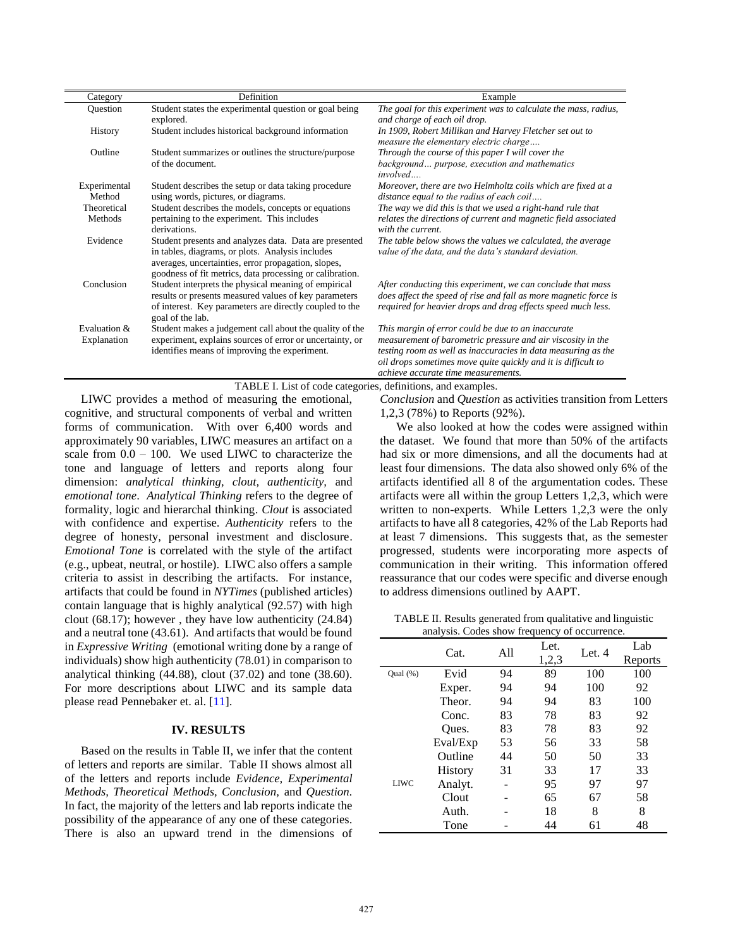| Category                    | Definition                                                                                                                                                                                                                    | Example                                                                                                                                                                                                                                                                                    |  |  |
|-----------------------------|-------------------------------------------------------------------------------------------------------------------------------------------------------------------------------------------------------------------------------|--------------------------------------------------------------------------------------------------------------------------------------------------------------------------------------------------------------------------------------------------------------------------------------------|--|--|
| Question                    | Student states the experimental question or goal being                                                                                                                                                                        | The goal for this experiment was to calculate the mass, radius,                                                                                                                                                                                                                            |  |  |
|                             | explored.                                                                                                                                                                                                                     | and charge of each oil drop.                                                                                                                                                                                                                                                               |  |  |
| History                     | Student includes historical background information                                                                                                                                                                            | In 1909, Robert Millikan and Harvey Fletcher set out to<br>measure the elementary electric charge                                                                                                                                                                                          |  |  |
| Outline                     | Student summarizes or outlines the structure/purpose                                                                                                                                                                          | Through the course of this paper I will cover the                                                                                                                                                                                                                                          |  |  |
|                             | of the document.                                                                                                                                                                                                              | background purpose, execution and mathematics<br><i>involved</i>                                                                                                                                                                                                                           |  |  |
| Experimental                | Student describes the setup or data taking procedure                                                                                                                                                                          | Moreover, there are two Helmholtz coils which are fixed at a                                                                                                                                                                                                                               |  |  |
| Method                      | using words, pictures, or diagrams.                                                                                                                                                                                           | distance equal to the radius of each coil                                                                                                                                                                                                                                                  |  |  |
| Theoretical                 | Student describes the models, concepts or equations                                                                                                                                                                           | The way we did this is that we used a right-hand rule that                                                                                                                                                                                                                                 |  |  |
| Methods                     | pertaining to the experiment. This includes<br>derivations.                                                                                                                                                                   | relates the directions of current and magnetic field associated<br>with the current.                                                                                                                                                                                                       |  |  |
| Evidence                    | Student presents and analyzes data. Data are presented<br>in tables, diagrams, or plots. Analysis includes<br>averages, uncertainties, error propagation, slopes,<br>goodness of fit metrics, data processing or calibration. | The table below shows the values we calculated, the average<br>value of the data, and the data's standard deviation.                                                                                                                                                                       |  |  |
| Conclusion                  | Student interprets the physical meaning of empirical<br>results or presents measured values of key parameters<br>of interest. Key parameters are directly coupled to the<br>goal of the lab.                                  | After conducting this experiment, we can conclude that mass<br>does affect the speed of rise and fall as more magnetic force is<br>required for heavier drops and drag effects speed much less.                                                                                            |  |  |
| Evaluation &<br>Explanation | Student makes a judgement call about the quality of the<br>experiment, explains sources of error or uncertainty, or<br>identifies means of improving the experiment.                                                          | This margin of error could be due to an inaccurate<br>measurement of barometric pressure and air viscosity in the<br>testing room as well as inaccuracies in data measuring as the<br>oil drops sometimes move quite quickly and it is difficult to<br>achieve accurate time measurements. |  |  |

TABLE I. List of code categories, definitions, and examples.

LIWC provides a method of measuring the emotional, cognitive, and structural components of verbal and written forms of communication. With over 6,400 words and approximately 90 variables, LIWC measures an artifact on a scale from  $0.0 - 100$ . We used LIWC to characterize the tone and language of letters and reports along four dimension: *analytical thinking, clout, authenticity,* and *emotional tone*. *Analytical Thinking* refers to the degree of formality, logic and hierarchal thinking. *Clout* is associated with confidence and expertise. *Authenticity* refers to the degree of honesty, personal investment and disclosure. *Emotional Tone* is correlated with the style of the artifact (e.g., upbeat, neutral, or hostile). LIWC also offers a sample criteria to assist in describing the artifacts. For instance, artifacts that could be found in *NYTimes* (published articles) contain language that is highly analytical (92.57) with high clout (68.17); however , they have low authenticity (24.84) and a neutral tone (43.61). And artifacts that would be found in *Expressive Writing* (emotional writing done by a range of individuals) show high authenticity (78.01) in comparison to analytical thinking (44.88), clout (37.02) and tone (38.60). For more descriptions about LIWC and its sample data please read Pennebaker et. al. [\[11\]](#page--1-0).

## **IV. RESULTS**

Based on the results in Table II, we infer that the content of letters and reports are similar. Table II shows almost all of the letters and reports include *Evidence, Experimental Methods, Theoretical Methods, Conclusion,* and *Question.*  In fact, the majority of the letters and lab reports indicate the possibility of the appearance of any one of these categories. There is also an upward trend in the dimensions of *Conclusion* and *Question* as activities transition from Letters 1,2,3 (78%) to Reports (92%).

We also looked at how the codes were assigned within the dataset. We found that more than 50% of the artifacts had six or more dimensions, and all the documents had at least four dimensions. The data also showed only 6% of the artifacts identified all 8 of the argumentation codes. These artifacts were all within the group Letters 1,2,3, which were written to non-experts. While Letters 1,2,3 were the only artifacts to have all 8 categories, 42% of the Lab Reports had at least 7 dimensions. This suggests that, as the semester progressed, students were incorporating more aspects of communication in their writing. This information offered reassurance that our codes were specific and diverse enough to address dimensions outlined by AAPT.

TABLE II. Results generated from qualitative and linguistic analysis. Codes show frequency of occurrence.

|          | Cat.     | A11 | Let.<br>1,2,3 | Let. 4 | Lab<br>Reports |
|----------|----------|-----|---------------|--------|----------------|
| Qual (%) | Evid     | 94  | 89            | 100    | 100            |
|          | Exper.   | 94  | 94            | 100    | 92             |
|          | Theor.   | 94  | 94            | 83     | 100            |
|          | Conc.    | 83  | 78            | 83     | 92             |
|          | Oues.    | 83  | 78            | 83     | 92             |
| LIWC     | Eval/Exp | 53  | 56            | 33     | 58             |
|          | Outline  | 44  | 50            | 50     | 33             |
|          | History  | 31  | 33            | 17     | 33             |
|          | Analyt.  |     | 95            | 97     | 97             |
|          | Clout    |     | 65            | 67     | 58             |
|          | Auth.    |     | 18            | 8      | 8              |
|          | Tone     |     | 44            | 61     | 48             |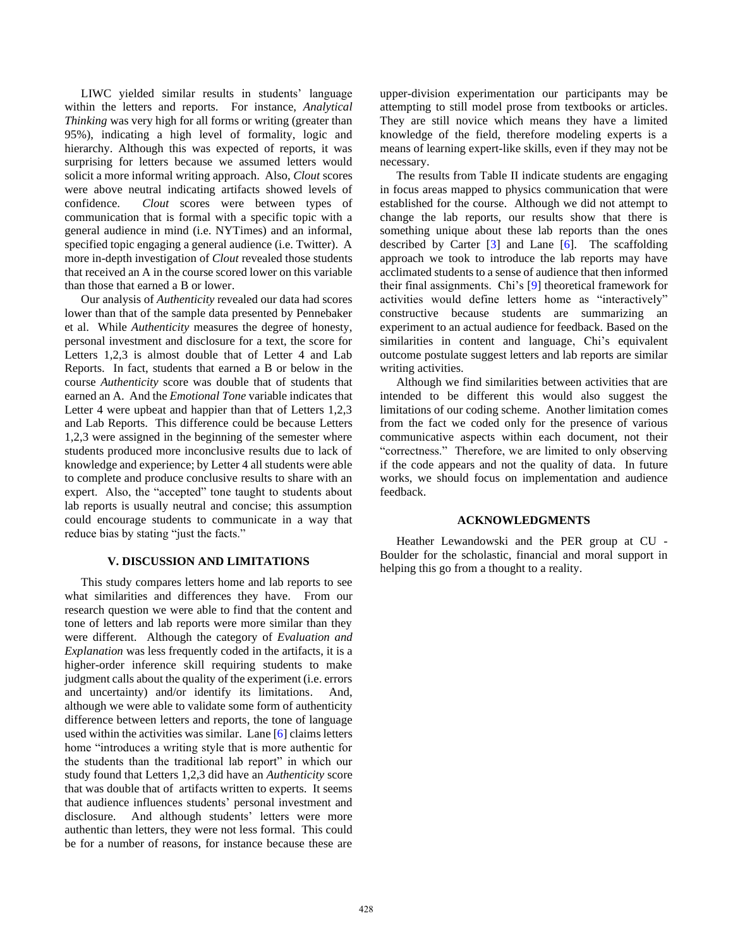LIWC yielded similar results in students' language within the letters and reports. For instance, *Analytical Thinking* was very high for all forms or writing (greater than 95%), indicating a high level of formality, logic and hierarchy. Although this was expected of reports, it was surprising for letters because we assumed letters would solicit a more informal writing approach. Also, *Clout* scores were above neutral indicating artifacts showed levels of confidence. *Clout* scores were between types of communication that is formal with a specific topic with a general audience in mind (i.e. NYTimes) and an informal, specified topic engaging a general audience (i.e. Twitter). A more in-depth investigation of *Clout* revealed those students that received an A in the course scored lower on this variable than those that earned a B or lower.

Our analysis of *Authenticity* revealed our data had scores lower than that of the sample data presented by Pennebaker et al. While *Authenticity* measures the degree of honesty, personal investment and disclosure for a text, the score for Letters 1,2,3 is almost double that of Letter 4 and Lab Reports. In fact, students that earned a B or below in the course *Authenticity* score was double that of students that earned an A. And the *Emotional Tone* variable indicates that Letter 4 were upbeat and happier than that of Letters 1,2,3 and Lab Reports. This difference could be because Letters 1,2,3 were assigned in the beginning of the semester where students produced more inconclusive results due to lack of knowledge and experience; by Letter 4 all students were able to complete and produce conclusive results to share with an expert. Also, the "accepted" tone taught to students about lab reports is usually neutral and concise; this assumption could encourage students to communicate in a way that reduce bias by stating "just the facts."

### **V. DISCUSSION AND LIMITATIONS**

This study compares letters home and lab reports to see what similarities and differences they have. From our research question we were able to find that the content and tone of letters and lab reports were more similar than they were different. Although the category of *Evaluation and Explanation* was less frequently coded in the artifacts, it is a higher-order inference skill requiring students to make judgment calls about the quality of the experiment (i.e. errors and uncertainty) and/or identify its limitations. And, although we were able to validate some form of authenticity difference between letters and reports, the tone of language used within the activities was similar. Lane [\[6\]](#page--1-0) claims letters home "introduces a writing style that is more authentic for the students than the traditional lab report" in which our study found that Letters 1,2,3 did have an *Authenticity* score that was double that of artifacts written to experts. It seems that audience influences students' personal investment and disclosure. And although students' letters were more authentic than letters, they were not less formal. This could be for a number of reasons, for instance because these are upper-division experimentation our participants may be attempting to still model prose from textbooks or articles. They are still novice which means they have a limited knowledge of the field, therefore modeling experts is a means of learning expert-like skills, even if they may not be necessary.

The results from Table II indicate students are engaging in focus areas mapped to physics communication that were established for the course. Although we did not attempt to change the lab reports, our results show that there is something unique about these lab reports than the ones described by Carter [\[3\]](#page--1-0) and Lane [\[6\]](#page--1-0). The scaffolding approach we took to introduce the lab reports may have acclimated students to a sense of audience that then informed their final assignments. Chi's [\[9\]](#page--1-0) theoretical framework for activities would define letters home as "interactively" constructive because students are summarizing an experiment to an actual audience for feedback. Based on the similarities in content and language, Chi's equivalent outcome postulate suggest letters and lab reports are similar writing activities.

Although we find similarities between activities that are intended to be different this would also suggest the limitations of our coding scheme. Another limitation comes from the fact we coded only for the presence of various communicative aspects within each document, not their "correctness." Therefore, we are limited to only observing if the code appears and not the quality of data. In future works, we should focus on implementation and audience feedback.

#### **ACKNOWLEDGMENTS**

Heather Lewandowski and the PER group at CU - Boulder for the scholastic, financial and moral support in helping this go from a thought to a reality.